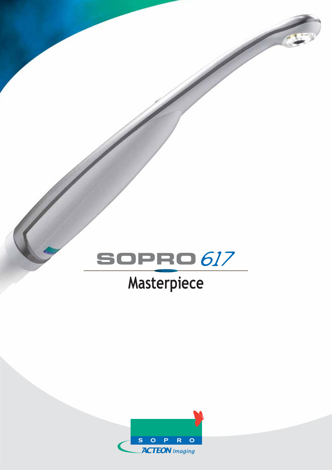

# **Masterpiece**

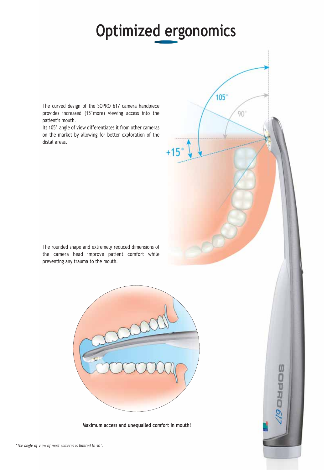## **Optimized ergonomics**

 $105°$ 

90

**SORRO** 

The curved design of the SOPRO 617 camera handpiece provides increased (15°more) viewing access into the patient's mouth.

Its 105° angle of view differentiates it from other cameras on the market by allowing for better exploration of the distal areas.

The rounded shape and extremely reduced dimensions of the camera head improve patient comfort while preventing any trauma to the mouth.



**Maximum access and unequalled comfort in mouth!**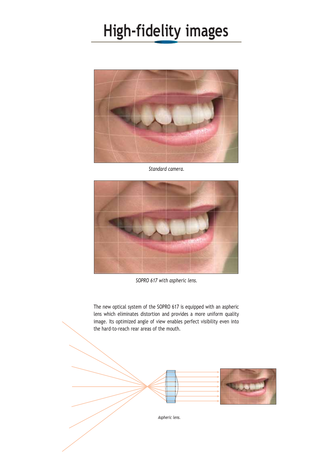## **High-fidelity images**



*Standard camera.*



*SOPRO 617 with aspheric lens.*

The new optical system of the SOPRO 617 is equipped with an aspheric lens which eliminates distortion and provides a more uniform quality image. Its optimized angle of view enables perfect visibility even into the hard-to-reach rear areas of the mouth.

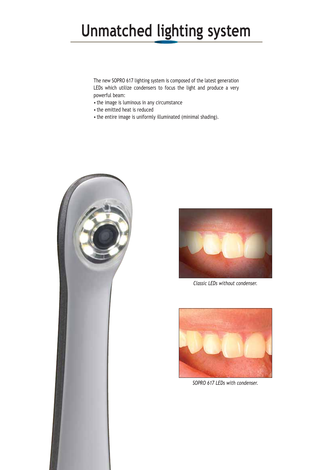## **Unmatched lighting system**

The new SOPRO 617 lighting system is composed of the latest generation LEDs which utilize condensers to focus the light and produce a very powerful beam:

- the image is luminous in any circumstance
- the emitted heat is reduced
- the entire image is uniformly illuminated (minimal shading).





*Classic LEDs without condenser.*



*SOPRO 617 LEDs with condenser.*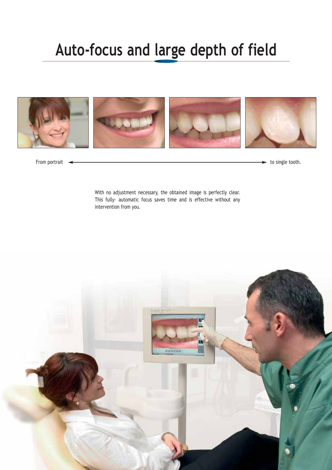### **Auto-focus and large depth of field**



From portrait  $\leftarrow$  to single tooth.

With no adjustment necessary, the obtained image is perfectly clear. This fully- automatic focus saves time and is effective without any intervention from you.

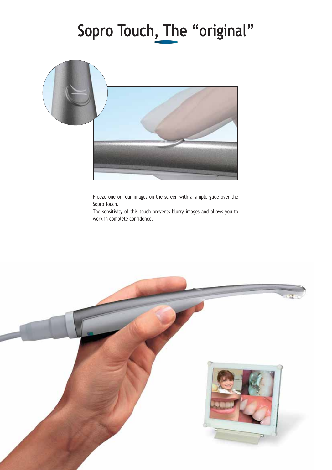## **Sopro Touch, The "original"**



Freeze one or four images on the screen with a simple glide over the Sopro Touch.

The sensitivity of this touch prevents blurry images and allows you to work in complete confidence.

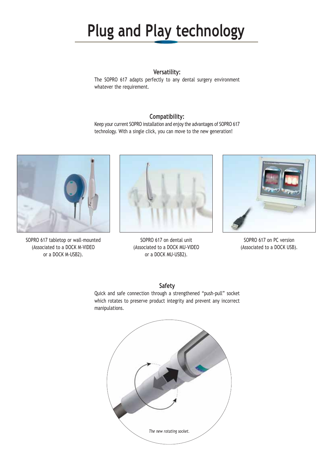## **Plug and Play technology**

#### **Versatility:**

The SOPRO 617 adapts perfectly to any dental surgery environment whatever the requirement.

#### **Compatibility:**

Keep your current SOPRO installation and enjoy the advantages of SOPRO 617 technology. With a single click, you can move to the new generation!



SOPRO 617 tabletop or wall-mounted (Associated to a DOCK M-VIDEO or a DOCK M-USB2).



SOPRO 617 on dental unit (Associated to a DOCK MU-VIDEO or a DOCK MU-USB2).



SOPRO 617 on PC version (Associated to a DOCK USB).

#### **Safety**

Quick and safe connection through a strengthened "push-pull" socket which rotates to preserve product integrity and prevent any incorrect manipulations.